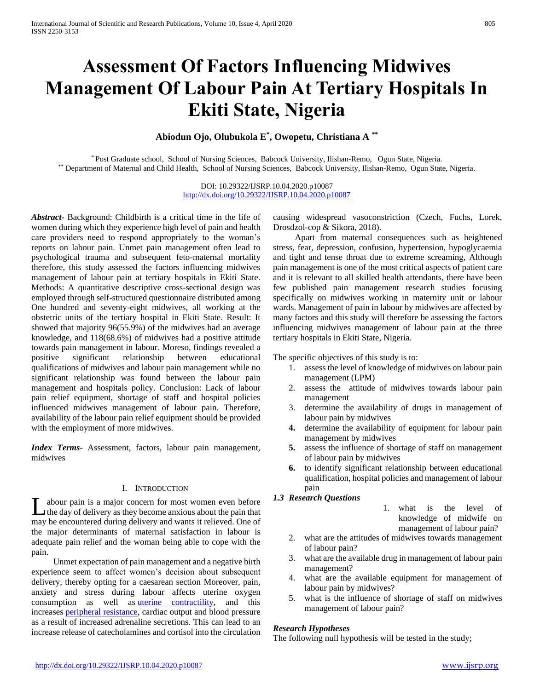# **Assessment Of Factors Influencing Midwives Management Of Labour Pain At Tertiary Hospitals In Ekiti State, Nigeria**

# **Abiodun Ojo, Olubukola E\* , Owopetu, Christiana A \*\***

\* Post Graduate school, School of Nursing Sciences, Babcock University, Ilishan-Remo, Ogun State, Nigeria. \*\* Department of Maternal and Child Health, School of Nursing Sciences, Babcock University, Ilishan-Remo, Ogun State, Nigeria.

> DOI: 10.29322/IJSRP.10.04.2020.p10087 <http://dx.doi.org/10.29322/IJSRP.10.04.2020.p10087>

*Abstract***-** Background: Childbirth is a critical time in the life of women during which they experience high level of pain and health care providers need to respond appropriately to the woman's reports on labour pain. Unmet pain management often lead to psychological trauma and subsequent feto-maternal mortality therefore, this study assessed the factors influencing midwives management of labour pain at tertiary hospitals in Ekiti State. Methods: A quantitative descriptive cross-sectional design was employed through self-structured questionnaire distributed among One hundred and seventy-eight midwives, all working at the obstetric units of the tertiary hospital in Ekiti State. Result: It showed that majority 96(55.9%) of the midwives had an average knowledge, and 118(68.6%) of midwives had a positive attitude towards pain management in labour. Moreso, findings revealed a positive significant relationship between educational qualifications of midwives and labour pain management while no significant relationship was found between the labour pain management and hospitals policy. Conclusion: Lack of labour pain relief equipment, shortage of staff and hospital policies influenced midwives management of labour pain. Therefore, availability of the labour pain relief equipment should be provided with the employment of more midwives.

*Index Terms*- Assessment, factors, labour pain management, midwives

# I. INTRODUCTION

abour pain is a major concern for most women even before the day of delivery as they become anxious about the pain that may be encountered during delivery and wants it relieved. One of the major determinants of maternal satisfaction in labour is adequate pain relief and the woman being able to cope with the pain. L

 Unmet expectation of pain management and a negative birth experience seem to affect women's decision about subsequent delivery, thereby opting for a caesarean section Moreover, pain, anxiety and stress during labour affects uterine oxygen consumption as well as **uterine** contractility, and this increases [peripheral resistance,](https://www.sciencedirect.com/topics/medicine-and-dentistry/vascular-resistance) cardiac output and blood pressure as a result of increased adrenaline secretions. This can lead to an increase release of catecholamines and cortisol into the circulation causing widespread vasoconstriction (Czech, Fuchs, Lorek, Drosdzol-cop & Sikora, 2018).

 Apart from maternal consequences such as heightened stress, fear, depression, confusion, hypertension, hypoglycaemia and tight and tense throat due to extreme screaming, Although pain management is one of the most critical aspects of patient care and it is relevant to all skilled health attendants, there have been few published pain management research studies focusing specifically on midwives working in maternity unit or labour wards. Management of pain in labour by midwives are affected by many factors and this study will therefore be assessing the factors influencing midwives management of labour pain at the three tertiary hospitals in Ekiti State, Nigeria.

The specific objectives of this study is to:

- 1. assess the level of knowledge of midwives on labour pain management (LPM)
- 2. assess the attitude of midwives towards labour pain management
- 3. determine the availability of drugs in management of labour pain by midwives
- **4.** determine the availability of equipment for labour pain management by midwives
- **5.** assess the influence of shortage of staff on management of labour pain by midwives
- **6.** to identify significant relationship between educational qualification, hospital policies and management of labour pain

# *1.3 Research Questions*

- 1. what is the level of knowledge of midwife on management of labour pain?
- 2. what are the attitudes of midwives towards management of labour pain?
- 3. what are the available drug in management of labour pain management?
- 4. what are the available equipment for management of labour pain by midwives?
- 5. what is the influence of shortage of staff on midwives management of labour pain?

# *Research Hypotheses*

The following null hypothesis will be tested in the study;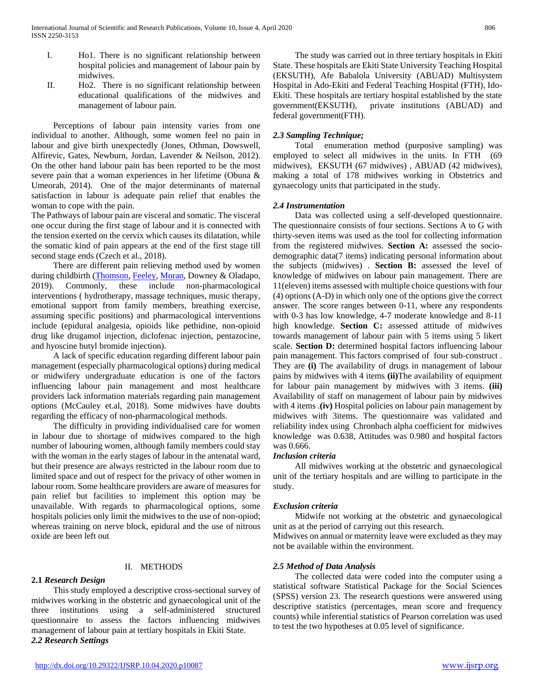- I. Ho1. There is no significant relationship between hospital policies and management of labour pain by midwives.
- II. Ho2. There is no significant relationship between educational qualifications of the midwives and management of labour pain.

 Perceptions of labour pain intensity varies from one individual to another. Although, some women feel no pain in labour and give birth unexpectedly (Jones, Othman, Dowswell, Alfirevic, Gates, Newburn, Jordan, Lavender & Neilson, 2012). On the other hand labour pain has been reported to be the most severe pain that a woman experiences in her lifetime (Obuna & Umeorah, 2014). One of the major determinants of maternal satisfaction in labour is adequate pain relief that enables the woman to cope with the pain.

The Pathways of labour pain are visceral and somatic. The visceral one occur during the first stage of labour and it is connected with the tension exerted on the cervix which causes its dilatation, while the somatic kind of pain appears at the end of the first stage till second stage ends (Czech et al., 2018).

 There are different pain relieving method used by women during childbirth [\(Thomson,](https://reproductive-health-journal.biomedcentral.com/articles/10.1186/s12978-019-0735-4#auth-1) [Feeley,](https://reproductive-health-journal.biomedcentral.com/articles/10.1186/s12978-019-0735-4#auth-2) [Moran,](https://reproductive-health-journal.biomedcentral.com/articles/10.1186/s12978-019-0735-4#auth-3) Downey & Oladapo, 2019). Commonly, these include non-pharmacological interventions ( hydrotherapy, massage techniques, music therapy, emotional support from family members, breathing exercise, assuming specific positions) and pharmacological interventions include (epidural analgesia, opioids like pethidine, non-opioid drug like drugamol injection, diclofenac injection, pentazocine, and hyoscine butyl bromide injection).

 A lack of specific education regarding different labour pain management (especially pharmacological options) during medical or midwifery undergraduate education is one of the factors influencing labour pain management and most healthcare providers lack information materials regarding pain management options (McCauley et.al, 2018). Some midwives have doubts regarding the efficacy of non-pharmacological methods.

 The difficulty in providing individualised care for women in labour due to shortage of midwives compared to the high number of labouring women, although family members could stay with the woman in the early stages of labour in the antenatal ward, but their presence are always restricted in the labour room due to limited space and out of respect for the privacy of other women in labour room. Some healthcare providers are aware of measures for pain relief but facilities to implement this option may be unavailable. With regards to pharmacological options, some hospitals policies only limit the midwives to the use of non-opiod; whereas training on nerve block, epidural and the use of nitrous oxide are been left out

# II. METHODS

# **2.1** *Research Design*

 This study employed a descriptive cross-sectional survey of midwives working in the obstetric and gynaecological unit of the three institutions using a self-administered structured questionnaire to assess the factors influencing midwives management of labour pain at tertiary hospitals in Ekiti State. *2.2 Research Settings*

 The study was carried out in three tertiary hospitals in Ekiti State. These hospitals are Ekiti State University Teaching Hospital (EKSUTH), Afe Babalola University (ABUAD) Multisystem Hospital in Ado-Ekiti and Federal Teaching Hospital (FTH), Ido-Ekiti. These hospitals are tertiary hospital established by the state government(EKSUTH), private institutions (ABUAD) and federal government(FTH).

# *2.3 Sampling Technique;*

 Total enumeration method (purposive sampling) was employed to select all midwives in the units. In FTH (69 midwives), EKSUTH (67 midwives) , ABUAD (42 midwives), making a total of 178 midwives working in Obstetrics and gynaecology units that participated in the study.

#### *2.4 Instrumentation*

 Data was collected using a self-developed questionnaire. The questionnaire consists of four sections. Sections A to G with thirty-seven items was used as the tool for collecting information from the registered midwives. **Section A:** assessed the sociodemographic data(7 items) indicating personal information about the subjects (midwives) . **Section B:** assessed the level of knowledge of midwives on labour pain management. There are 11(eleven) items assessed with multiple choice questions with four (4) options (A-D) in which only one of the options give the correct answer. The score ranges between 0-11, where any respondents with 0-3 has low knowledge, 4-7 moderate knowledge and 8-11 high knowledge. **Section C:** assessed attitude of midwives towards management of labour pain with 5 items using 5 likert scale. **Section D:** determined hospital factors influencing labour pain management. This factors comprised of four sub-construct . They are **(i)** The availability of drugs in management of labour pains by midwives with 4 items **(ii)**The availability of equipment for labour pain management by midwives with 3 items. **(iii)**  Availability of staff on management of labour pain by midwives with 4 items .**(iv)** Hospital policies on labour pain management by midwives with 3items. The questionnaire was validated and reliability index using Chronbach alpha coefficient for midwives knowledge was 0.638, Attitudes was 0.980 and hospital factors was 0.666.

# *Inclusion criteria*

 All midwives working at the obstetric and gynaecological unit of the tertiary hospitals and are willing to participate in the study.

# *Exclusion criteria*

 Midwife not working at the obstetric and gynaecological unit as at the period of carrying out this research.

Midwives on annual or maternity leave were excluded as they may not be available within the environment.

#### *2.5 Method of Data Analysis*

 The collected data were coded into the computer using a statistical software Statistical Package for the Social Sciences (SPSS) version 23. The research questions were answered using descriptive statistics (percentages, mean score and frequency counts) while inferential statistics of Pearson correlation was used to test the two hypotheses at 0.05 level of significance.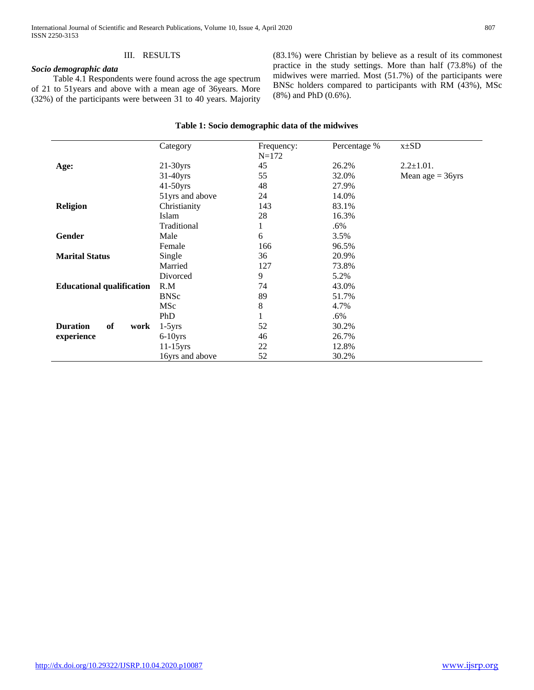# III. RESULTS

# *Socio demographic data*

 Table 4.1 Respondents were found across the age spectrum of 21 to 51years and above with a mean age of 36years. More (32%) of the participants were between 31 to 40 years. Majority (83.1%) were Christian by believe as a result of its commonest practice in the study settings. More than half (73.8%) of the midwives were married. Most (51.7%) of the participants were BNSc holders compared to participants with RM (43%), MSc (8%) and PhD (0.6%).

|                                  | Category        | Frequency:<br>$N = 172$ | Percentage % | $x\pm SD$          |
|----------------------------------|-----------------|-------------------------|--------------|--------------------|
| Age:                             | $21-30$ yrs     | 45                      | 26.2%        | $2.2 \pm 1.01$ .   |
|                                  | $31-40$ yrs     | 55                      | 32.0%        | Mean age $= 36yrs$ |
|                                  | $41-50$ yrs     | 48                      | 27.9%        |                    |
|                                  | 51yrs and above | 24                      | 14.0%        |                    |
| <b>Religion</b>                  | Christianity    | 143                     | 83.1%        |                    |
|                                  | Islam           | 28                      | 16.3%        |                    |
|                                  | Traditional     | $\mathbf{1}$            | $.6\%$       |                    |
| <b>Gender</b>                    | Male            | 6                       | 3.5%         |                    |
|                                  | Female          | 166                     | 96.5%        |                    |
| <b>Marital Status</b>            | Single          | 36                      | 20.9%        |                    |
|                                  | Married         | 127                     | 73.8%        |                    |
|                                  | Divorced        | 9                       | 5.2%         |                    |
| <b>Educational qualification</b> | R.M             | 74                      | 43.0%        |                    |
|                                  | <b>BNSc</b>     | 89                      | 51.7%        |                    |
|                                  | <b>MSc</b>      | $\,8\,$                 | 4.7%         |                    |
|                                  | PhD             | 1                       | .6%          |                    |
| <b>Duration</b><br>of<br>work    | $1-5yrs$        | 52                      | 30.2%        |                    |
| experience                       | $6-10$ yrs      | 46                      | 26.7%        |                    |
|                                  | $11-15$ yrs     | 22                      | 12.8%        |                    |
|                                  | 16yrs and above | 52                      | 30.2%        |                    |

#### **Table 1: Socio demographic data of the midwives**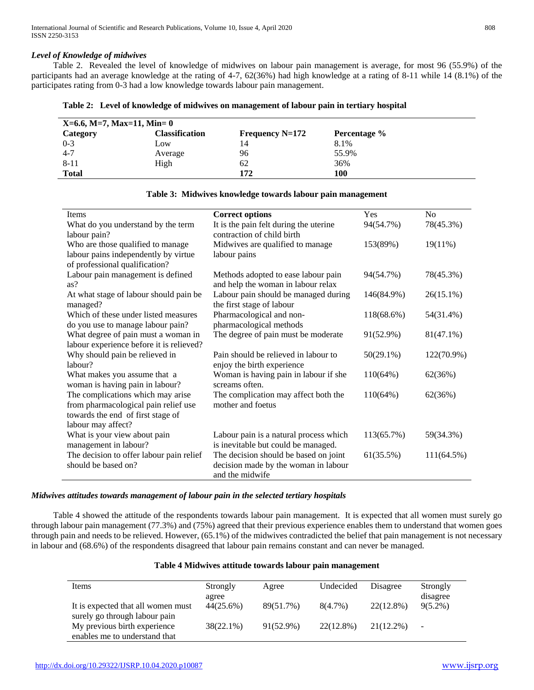# *Level of Knowledge of midwives*

 Table 2. Revealed the level of knowledge of midwives on labour pain management is average, for most 96 (55.9%) of the participants had an average knowledge at the rating of 4-7, 62(36%) had high knowledge at a rating of 8-11 while 14 (8.1%) of the participates rating from 0-3 had a low knowledge towards labour pain management.

|  | Table 2: Level of knowledge of midwives on management of labour pain in tertiary hospital |
|--|-------------------------------------------------------------------------------------------|
|  |                                                                                           |

| $X=6.6$ , M=7, Max=11, Min= 0 |                |                   |              |  |
|-------------------------------|----------------|-------------------|--------------|--|
| Category                      | Classification | Frequency $N=172$ | Percentage % |  |
| $0 - 3$                       | Low            | 14                | 8.1%         |  |
| $4 - 7$                       | Average        | 96                | 55.9%        |  |
| 8-11                          | High           | 62                | 36%          |  |
| <b>Total</b>                  |                | 172               | 100          |  |

| Items                                    | <b>Correct options</b>                 | <b>Yes</b>   | N <sub>0</sub> |
|------------------------------------------|----------------------------------------|--------------|----------------|
| What do you understand by the term       | It is the pain felt during the uterine | 94(54.7%)    | 78(45.3%)      |
| labour pain?                             | contraction of child birth             |              |                |
| Who are those qualified to manage        | Midwives are qualified to manage       | 153(89%)     | 19(11%)        |
| labour pains independently by virtue     | labour pains                           |              |                |
| of professional qualification?           |                                        |              |                |
| Labour pain management is defined        | Methods adopted to ease labour pain    | 94(54.7%)    | 78(45.3%)      |
| as?                                      | and help the woman in labour relax     |              |                |
| At what stage of labour should pain be   | Labour pain should be managed during   | 146(84.9%)   | $26(15.1\%)$   |
| managed?                                 | the first stage of labour              |              |                |
| Which of these under listed measures     | Pharmacological and non-               | 118(68.6%)   | 54(31.4%)      |
| do you use to manage labour pain?        | pharmacological methods                |              |                |
| What degree of pain must a woman in      | The degree of pain must be moderate    | 91(52.9%)    | $81(47.1\%)$   |
| labour experience before it is relieved? |                                        |              |                |
| Why should pain be relieved in           | Pain should be relieved in labour to   | $50(29.1\%)$ | 122(70.9%)     |
| labour?                                  | enjoy the birth experience             |              |                |
| What makes you assume that a             | Woman is having pain in labour if she  | 110(64%)     | 62(36%)        |
| woman is having pain in labour?          | screams often.                         |              |                |
| The complications which may arise        | The complication may affect both the   | 110(64%)     | 62(36%)        |
| from pharmacological pain relief use     | mother and foetus                      |              |                |
| towards the end of first stage of        |                                        |              |                |
| labour may affect?                       |                                        |              |                |
| What is your view about pain             | Labour pain is a natural process which | 113(65.7%)   | 59(34.3%)      |
| management in labour?                    | is inevitable but could be managed.    |              |                |
| The decision to offer labour pain relief | The decision should be based on joint  | 61(35.5%)    | 111(64.5%)     |
| should be based on?                      | decision made by the woman in labour   |              |                |
|                                          | and the midwife                        |              |                |

# **Table 3: Midwives knowledge towards labour pain management**

# *Midwives attitudes towards management of labour pain in the selected tertiary hospitals*

 Table 4 showed the attitude of the respondents towards labour pain management. It is expected that all women must surely go through labour pain management (77.3%) and (75%) agreed that their previous experience enables them to understand that women goes through pain and needs to be relieved. However, (65.1%) of the midwives contradicted the belief that pain management is not necessary in labour and (68.6%) of the respondents disagreed that labour pain remains constant and can never be managed.

| Table 4 Midwives attitude towards labour pain management |  |
|----------------------------------------------------------|--|
|----------------------------------------------------------|--|

| Items                              | Strongly     | Agree     | Undecided  | Disagree  | Strongly       |
|------------------------------------|--------------|-----------|------------|-----------|----------------|
|                                    | agree        |           |            |           | disagree       |
| It is expected that all women must | 44(25.6%)    | 89(51.7%) | $8(4.7\%)$ | 22(12.8%) | $9(5.2\%)$     |
| surely go through labour pain      |              |           |            |           |                |
| My previous birth experience       | $38(22.1\%)$ | 91(52.9%) | 22(12.8%)  | 21(12.2%) | $\blacksquare$ |
| enables me to understand that      |              |           |            |           |                |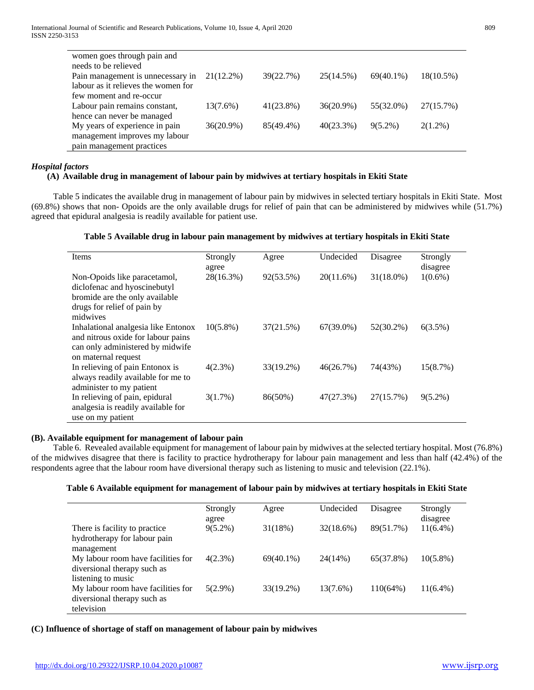| women goes through pain and         |              |              |              |              |              |
|-------------------------------------|--------------|--------------|--------------|--------------|--------------|
| needs to be relieved                |              |              |              |              |              |
| Pain management is unnecessary in   | $21(12.2\%)$ | 39(22.7%)    | 25(14.5%)    | $69(40.1\%)$ | $18(10.5\%)$ |
| labour as it relieves the women for |              |              |              |              |              |
| few moment and re-occur             |              |              |              |              |              |
| Labour pain remains constant,       | $13(7.6\%)$  | $41(23.8\%)$ | $36(20.9\%)$ | 55(32.0%)    | 27(15.7%)    |
| hence can never be managed          |              |              |              |              |              |
| My years of experience in pain      | 36(20.9%)    | 85(49.4%)    | 40(23.3%)    | $9(5.2\%)$   | $2(1.2\%)$   |
| management improves my labour       |              |              |              |              |              |
| pain management practices           |              |              |              |              |              |

# *Hospital factors*

# **(A) Available drug in management of labour pain by midwives at tertiary hospitals in Ekiti State**

 Table 5 indicates the available drug in management of labour pain by midwives in selected tertiary hospitals in Ekiti State. Most (69.8%) shows that non- Opoids are the only available drugs for relief of pain that can be administered by midwives while (51.7%) agreed that epidural analgesia is readily available for patient use.

# **Table 5 Available drug in labour pain management by midwives at tertiary hospitals in Ekiti State**

| Items                                                                                                                                     | Strongly<br>agree | Agree     | Undecided    | Disagree     | Strongly<br>disagree |
|-------------------------------------------------------------------------------------------------------------------------------------------|-------------------|-----------|--------------|--------------|----------------------|
| Non-Opoids like paracetamol,<br>diclofenac and hyoscinebutyl<br>bromide are the only available<br>drugs for relief of pain by<br>midwives | 28(16.3%)         | 92(53.5%) | 20(11.6%)    | $31(18.0\%)$ | $1(0.6\%)$           |
| Inhalational analgesia like Entonox<br>and nitrous oxide for labour pains<br>can only administered by midwife<br>on maternal request      | $10(5.8\%)$       | 37(21.5%) | $67(39.0\%)$ | 52(30.2%)    | 6(3.5%)              |
| In relieving of pain Entonox is<br>always readily available for me to<br>administer to my patient                                         | $4(2.3\%)$        | 33(19.2%) | 46(26.7%)    | 74(43%)      | 15(8.7%)             |
| In relieving of pain, epidural<br>analgesia is readily available for<br>use on my patient                                                 | $3(1.7\%)$        | 86(50%)   | 47(27.3%)    | 27(15.7%)    | $9(5.2\%)$           |

# **(B). Available equipment for management of labour pain**

 Table 6. Revealed available equipment for management of labour pain by midwives at the selected tertiary hospital. Most (76.8%) of the midwives disagree that there is facility to practice hydrotherapy for labour pain management and less than half (42.4%) of the respondents agree that the labour room have diversional therapy such as listening to music and television (22.1%).

# **Table 6 Available equipment for management of labour pain by midwives at tertiary hospitals in Ekiti State**

|                                    | Strongly   | Agree        | Undecided | Disagree  | Strongly    |
|------------------------------------|------------|--------------|-----------|-----------|-------------|
|                                    | agree      |              |           |           | disagree    |
| There is facility to practice.     | $9(5.2\%)$ | 31(18%)      | 32(18.6%) | 89(51.7%) | $11(6.4\%)$ |
| hydrotherapy for labour pain       |            |              |           |           |             |
| management                         |            |              |           |           |             |
| My labour room have facilities for | $4(2.3\%)$ | $69(40.1\%)$ | 24(14%)   | 65(37.8%) | $10(5.8\%)$ |
| diversional therapy such as        |            |              |           |           |             |
| listening to music                 |            |              |           |           |             |
| My labour room have facilities for | $5(2.9\%)$ | 33(19.2%)    | 13(7.6%)  | 110(64%)  | $11(6.4\%)$ |
| diversional therapy such as        |            |              |           |           |             |
| television                         |            |              |           |           |             |

#### **(C) Influence of shortage of staff on management of labour pain by midwives**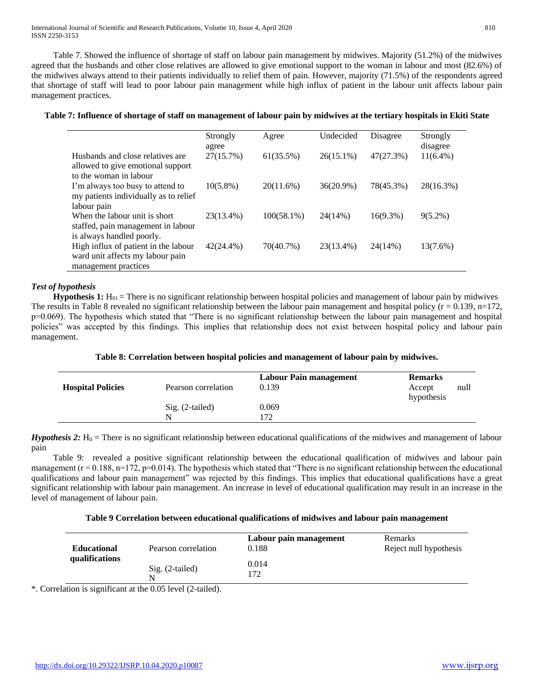Table 7. Showed the influence of shortage of staff on labour pain management by midwives. Majority (51.2%) of the midwives agreed that the husbands and other close relatives are allowed to give emotional support to the woman in labour and most (82.6%) of the midwives always attend to their patients individually to relief them of pain. However, majority (71.5%) of the respondents agreed that shortage of staff will lead to poor labour pain management while high influx of patient in the labour unit affects labour pain management practices.

# **Table 7: Influence of shortage of staff on management of labour pain by midwives at the tertiary hospitals in Ekiti State**

|                                                                                                 | Strongly<br>agree | Agree         | Undecided    | Disagree    | Strongly<br>disagree |
|-------------------------------------------------------------------------------------------------|-------------------|---------------|--------------|-------------|----------------------|
| Husbands and close relatives are<br>allowed to give emotional support<br>to the woman in labour | 27(15.7%)         | 61(35.5%)     | $26(15.1\%)$ | 47(27.3%)   | $11(6.4\%)$          |
| I'm always too busy to attend to<br>my patients individually as to relief                       | $10(5.8\%)$       | $20(11.6\%)$  | 36(20.9%)    | 78(45.3%)   | 28(16.3%)            |
| labour pain                                                                                     |                   |               |              |             |                      |
| When the labour unit is short<br>staffed, pain management in labour                             | 23(13.4%)         | $100(58.1\%)$ | 24(14%)      | $16(9.3\%)$ | $9(5.2\%)$           |
| is always handled poorly.                                                                       |                   |               |              |             |                      |
| High influx of patient in the labour<br>ward unit affects my labour pain                        | 42(24.4%)         | 70(40.7%)     | 23(13.4%)    | 24(14%)     | 13(7.6%)             |
| management practices                                                                            |                   |               |              |             |                      |

# *Test of hypothesis*

**Hypothesis 1:**  $H_{01}$  = There is no significant relationship between hospital policies and management of labour pain by midwives The results in Table 8 revealed no significant relationship between the labour pain management and hospital policy ( $r = 0.139$ ,  $n=172$ , p=0.069). The hypothesis which stated that "There is no significant relationship between the labour pain management and hospital policies" was accepted by this findings. This implies that relationship does not exist between hospital policy and labour pain management.

# **Table 8: Correlation between hospital policies and management of labour pain by midwives.**

| <b>Hospital Policies</b> | Pearson correlation | Labour Pain management<br>0.139 | <b>Remarks</b><br>Accept<br>hypothesis | null |
|--------------------------|---------------------|---------------------------------|----------------------------------------|------|
|                          | $Sig. (2-tailed)$   | 0.069                           |                                        |      |
|                          | N                   | 172                             |                                        |      |

*Hypothesis 2:*  $H_0$  = There is no significant relationship between educational qualifications of the midwives and management of labour pain

 Table 9: revealed a positive significant relationship between the educational qualification of midwives and labour pain management  $(r = 0.188, n=172, p=0.014)$ . The hypothesis which stated that "There is no significant relationship between the educational qualifications and labour pain management" was rejected by this findings. This implies that educational qualifications have a great significant relationship with labour pain management. An increase in level of educational qualification may result in an increase in the level of management of labour pain.

# **Table 9 Correlation between educational qualifications of midwives and labour pain management**

| <b>Educational</b> | Pearson correlation    | Labour pain management<br>0.188 | Remarks<br>Reject null hypothesis |
|--------------------|------------------------|---------------------------------|-----------------------------------|
| qualifications     | $Sig. (2-tailed)$<br>N | 0.014<br>172                    |                                   |

\*. Correlation is significant at the 0.05 level (2-tailed).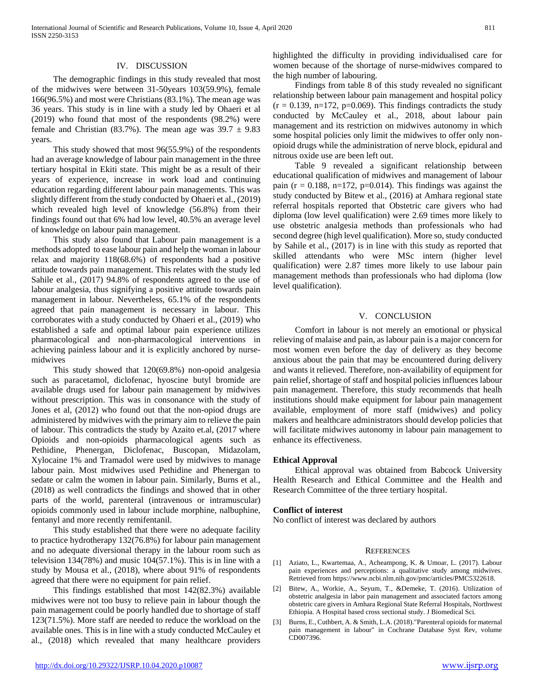#### IV. DISCUSSION

 The demographic findings in this study revealed that most of the midwives were between 31-50years 103(59.9%), female 166(96.5%) and most were Christians (83.1%). The mean age was 36 years. This study is in line with a study led by Ohaeri et al (2019) who found that most of the respondents (98.2%) were female and Christian (83.7%). The mean age was  $39.7 \pm 9.83$ years.

 This study showed that most 96(55.9%) of the respondents had an average knowledge of labour pain management in the three tertiary hospital in Ekiti state. This might be as a result of their years of experience, increase in work load and continuing education regarding different labour pain managements. This was slightly different from the study conducted by Ohaeri et al., (2019) which revealed high level of knowledge (56.8%) from their findings found out that 6% had low level, 40.5% an average level of knowledge on labour pain management.

 This study also found that Labour pain management is a methods adopted to ease labour pain and help the woman in labour relax and majority 118(68.6%) of respondents had a positive attitude towards pain management. This relates with the study led Sahile et al., (2017) 94.8% of respondents agreed to the use of labour analgesia, thus signifying a positive attitude towards pain management in labour. Nevertheless, 65.1% of the respondents agreed that pain management is necessary in labour. This corroborates with a study conducted by Ohaeri et al., (2019) who established a safe and optimal labour pain experience utilizes pharmacological and non-pharmacological interventions in achieving painless labour and it is explicitly anchored by nursemidwives

 This study showed that 120(69.8%) non-opoid analgesia such as paracetamol, diclofenac, hyoscine butyl bromide are available drugs used for labour pain management by midwives without prescription. This was in consonance with the study of Jones et al, (2012) who found out that the non-opiod drugs are administered by midwives with the primary aim to relieve the pain of labour. This contradicts the study by Azaito et.al, (2017 where Opioids and non-opioids pharmacological agents such as Pethidine, Phenergan, Diclofenac, Buscopan, Midazolam, Xylocaine 1% and Tramadol were used by midwives to manage labour pain. Most midwives used Pethidine and Phenergan to sedate or calm the women in labour pain. Similarly, Burns et al., (2018) as well contradicts the findings and showed that in other parts of the world, parenteral (intravenous or intramuscular) opioids commonly used in labour include morphine, nalbuphine, fentanyl and more recently remifentanil.

 This study established that there were no adequate facility to practice hydrotherapy 132(76.8%) for labour pain management and no adequate diversional therapy in the labour room such as television 134(78%) and music 104(57.1%). This is in line with a study by Mousa et al., (2018), where about 91% of respondents agreed that there were no equipment for pain relief.

 This findings established that most 142(82.3%) available midwives were not too busy to relieve pain in labour though the pain management could be poorly handled due to shortage of staff 123(71.5%). More staff are needed to reduce the workload on the available ones. This is in line with a study conducted McCauley et al., (2018) which revealed that many healthcare providers

 $(r = 0.139, n=172, p=0.069)$ . This findings contradicts the study conducted by McCauley et al., 2018, about labour pain

the high number of labouring.

management and its restriction on midwives autonomy in which some hospital policies only limit the midwives to offer only nonopioid drugs while the administration of nerve block, epidural and nitrous oxide use are been left out. Table 9 revealed a significant relationship between educational qualification of midwives and management of labour

highlighted the difficulty in providing individualised care for women because of the shortage of nurse-midwives compared to

 Findings from table 8 of this study revealed no significant relationship between labour pain management and hospital policy

pain ( $r = 0.188$ , n=172, p=0.014). This findings was against the study conducted by Bitew et al., (2016) at Amhara regional state referral hospitals reported that Obstetric care givers who had diploma (low level qualification) were 2.69 times more likely to use obstetric analgesia methods than professionals who had second degree (high level qualification). More so, study conducted by Sahile et al., (2017) is in line with this study as reported that skilled attendants who were MSc intern (higher level qualification) were 2.87 times more likely to use labour pain management methods than professionals who had diploma (low level qualification).

# V. CONCLUSION

 Comfort in labour is not merely an emotional or physical relieving of malaise and pain, as labour pain is a major concern for most women even before the day of delivery as they become anxious about the pain that may be encountered during delivery and wants it relieved. Therefore, non-availability of equipment for pain relief, shortage of staff and hospital policies influences labour pain management. Therefore, this study recommends that healh institutions should make equipment for labour pain management available, employment of more staff (midwives) and policy makers and healthcare administrators should develop policies that will facilitate midwives autonomy in labour pain management to enhance its effectiveness.

#### **Ethical Approval**

 Ethical approval was obtained from Babcock University Health Research and Ethical Committee and the Health and Research Committee of the three tertiary hospital.

#### **Conflict of interest**

No conflict of interest was declared by authors

#### **REFERENCES**

- [1] Aziato, L., Kwartemaa, A., Acheampong, K. & Umoar, L. (2017). Labour pain experiences and perceptions: a qualitative study among midwives. Retrieved from https://www.ncbi.nlm.nih.gov/pmc/articles/PMC5322618.
- [2] Bitew, A., Workie, A., Seyum, T., &Demeke, T. (2016). Utilization of obstetric analgesia in labor pain management and associated factors among obstetric care givers in Amhara Regional State Referral Hospitals, Northwest Ethiopia. A Hospital based cross sectional study. J Biomedical Sci.
- [3] Burns, E., Cuthbert, A. & Smith, L.A. (2018)."Parenteral opioids for maternal pain management in labour" in Cochrane Database Syst Rev, volume CD007396.